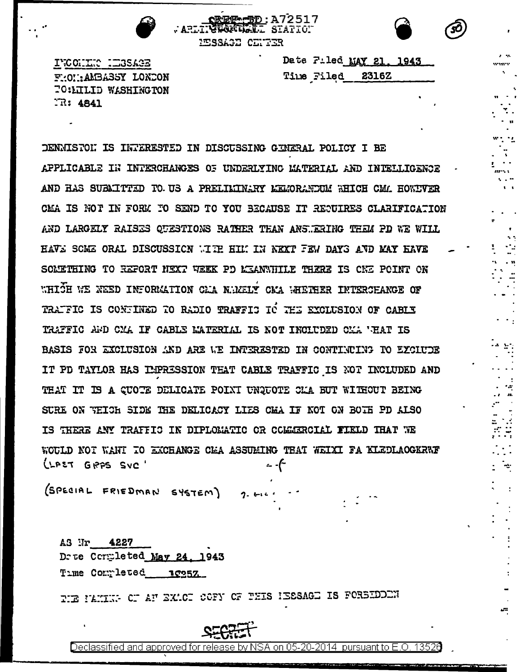

 $\sim$   $\sim$ 

÷

ARLINGUALLE STATION MESSAGE CENTER

**OREF-5D:A72517** 

INCOLLECTED SAGE FROUMALBASSY LONDON **TO: LILID WASHINGTON** TR: 4841

|  | Date Filed MAY 21, 1943 |  |
|--|-------------------------|--|
|  | Time Filed 2316Z        |  |

DENNISTON IS INTERESTED IN DISCUSSING GENERAL POLICY I BE APPLICABLE IN INTERCHANGES OF UNDERLYING MATERIAL AND INTELLIGENCE AND HAS SUBAITTED TO US A PRELIMINARY LEMORANDUM WHICH CM. HOWIVER CMA IS NOT IN FORM TO SEND TO YOU BECAUSE IT REDUIRES CLARIFICATION AND LARGELY RAISES OUESTIONS RATHER THAN ANSWERING THEM PD WE WILL HAVE SCME ORAL DISCUSSION WITH HIM IN NEXT FEW DAYS AND MAY HAVE SOMETHING TO REFORT NEXT WEEK PD MEANWHILE THERE IS CWE POINT ON WHICH WE NEED INFORMATION CLA NUMELY CMA WHETHER INTERCHANGE OF TRATFIC IS CONTINED TO RADIO TRAFFIC TO THE EXCLUSION OF CABIX TRAFFIC AND CMA IF CABLE MATERIAL IS NOT INCLUDED CMA WHAT IS BASIS FOR EXCLUSION AND ARE WE INTERESTED IN CONTINUING TO EXCLUDE IT PD TAYLOR HAS IMPRESSION THAT CABLE TRAFFIC IS NOT INCLUDED AND THAT IT IS A CUOTE DELICATE POINT UNQUOTE CLA BUT WITHOUT BEING SURE ON WEICH SIDE THE DELICACY LIES CHA IF NOT ON BOTH PD ALSO IS THERE ANY TRAFFIC IN DIPLOMATIC OR COMMERCIAL FIELD THAT WE WOULD NOT WANT TO EXCHANGE CLA ASSUMING THAT WEIXI FA KLEDLAOGKRWF LLPET GRPS SVC

(SPECIAL FRIEDMAN SYSTEM)

AS Nr 4227 Drue Completed May 24, 1943 Time Completed 10257

PIE PANING OF AN EXACT COFY OF THIS ISSSAGE IS FORBIDEN



Declassified and approved for release by NSA on 05-20-2014 pursuant to E.O. 13526

 $2.511$